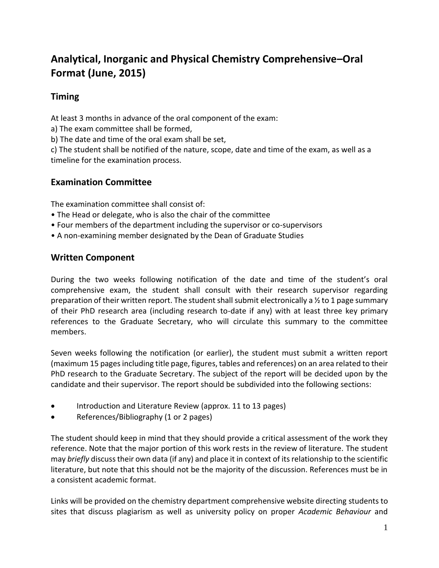# **Analytical, Inorganic and Physical Chemistry Comprehensive–Oral Format (June, 2015)**

## **Timing**

At least 3 months in advance of the oral component of the exam:

a) The exam committee shall be formed,

b) The date and time of the oral exam shall be set,

c) The student shall be notified of the nature, scope, date and time of the exam, as well as a timeline for the examination process.

# **Examination Committee**

The examination committee shall consist of:

- The Head or delegate, who is also the chair of the committee
- Four members of the department including the supervisor or co-supervisors
- A non-examining member designated by the Dean of Graduate Studies

# **Written Component**

During the two weeks following notification of the date and time of the student's oral comprehensive exam, the student shall consult with their research supervisor regarding preparation of their written report. The student shall submit electronically a ½ to 1 page summary of their PhD research area (including research to-date if any) with at least three key primary references to the Graduate Secretary, who will circulate this summary to the committee members.

Seven weeks following the notification (or earlier), the student must submit a written report (maximum 15 pages including title page, figures, tables and references) on an area related to their PhD research to the Graduate Secretary. The subject of the report will be decided upon by the candidate and their supervisor. The report should be subdivided into the following sections:

- Introduction and Literature Review (approx. 11 to 13 pages)
- References/Bibliography (1 or 2 pages)

The student should keep in mind that they should provide a critical assessment of the work they reference. Note that the major portion of this work rests in the review of literature. The student may *briefly* discuss their own data (if any) and place it in context of its relationship to the scientific literature, but note that this should not be the majority of the discussion. References must be in a consistent academic format.

Links will be provided on the chemistry department comprehensive website directing students to sites that discuss plagiarism as well as university policy on proper *Academic Behaviour* and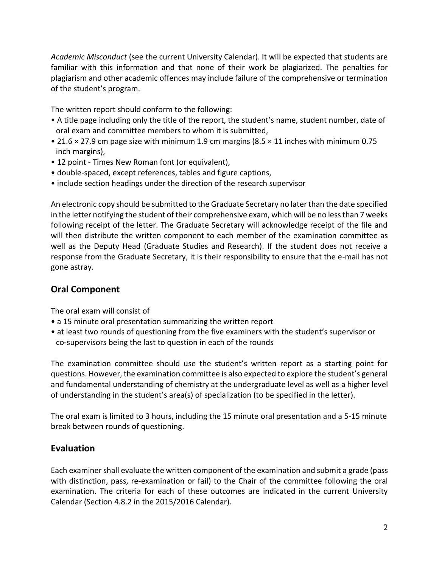*Academic Misconduct* (see the current University Calendar). It will be expected that students are familiar with this information and that none of their work be plagiarized. The penalties for plagiarism and other academic offences may include failure of the comprehensive or termination of the student's program.

The written report should conform to the following:

- A title page including only the title of the report, the student's name, student number, date of oral exam and committee members to whom it is submitted,
- 21.6 × 27.9 cm page size with minimum 1.9 cm margins (8.5 × 11 inches with minimum 0.75 inch margins),
- 12 point Times New Roman font (or equivalent),
- double-spaced, except references, tables and figure captions,
- include section headings under the direction of the research supervisor

An electronic copy should be submitted to the Graduate Secretary no later than the date specified in the letter notifying the student of their comprehensive exam, which will be no less than 7 weeks following receipt of the letter. The Graduate Secretary will acknowledge receipt of the file and will then distribute the written component to each member of the examination committee as well as the Deputy Head (Graduate Studies and Research). If the student does not receive a response from the Graduate Secretary, it is their responsibility to ensure that the e-mail has not gone astray.

## **Oral Component**

The oral exam will consist of

- a 15 minute oral presentation summarizing the written report
- at least two rounds of questioning from the five examiners with the student's supervisor or co-supervisors being the last to question in each of the rounds

The examination committee should use the student's written report as a starting point for questions. However, the examination committee is also expected to explore the student's general and fundamental understanding of chemistry at the undergraduate level as well as a higher level of understanding in the student's area(s) of specialization (to be specified in the letter).

The oral exam is limited to 3 hours, including the 15 minute oral presentation and a 5-15 minute break between rounds of questioning.

## **Evaluation**

Each examiner shall evaluate the written component of the examination and submit a grade (pass with distinction, pass, re-examination or fail) to the Chair of the committee following the oral examination. The criteria for each of these outcomes are indicated in the current University Calendar (Section 4.8.2 in the 2015/2016 Calendar).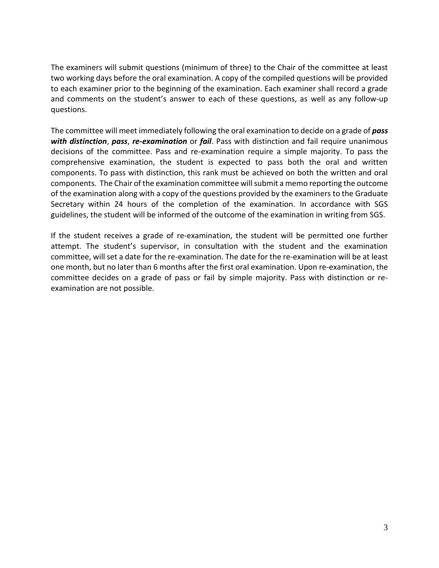The examiners will submit questions (minimum of three) to the Chair of the committee at least two working days before the oral examination. A copy of the compiled questions will be provided to each examiner prior to the beginning of the examination. Each examiner shall record a grade and comments on the student's answer to each of these questions, as well as any follow-up questions.

The committee will meet immediately following the oral examination to decide on a grade of *pass with distinction*, *pass*, *re-examination* or *fail*. Pass with distinction and fail require unanimous decisions of the committee. Pass and re-examination require a simple majority. To pass the comprehensive examination, the student is expected to pass both the oral and written components. To pass with distinction, this rank must be achieved on both the written and oral components. The Chair of the examination committee will submit a memo reporting the outcome of the examination along with a copy of the questions provided by the examiners to the Graduate Secretary within 24 hours of the completion of the examination. In accordance with SGS guidelines, the student will be informed of the outcome of the examination in writing from SGS.

If the student receives a grade of re-examination, the student will be permitted one further attempt. The student's supervisor, in consultation with the student and the examination committee, will set a date for the re-examination. The date for the re-examination will be at least one month, but no later than 6 months after the first oral examination. Upon re-examination, the committee decides on a grade of pass or fail by simple majority. Pass with distinction or reexamination are not possible.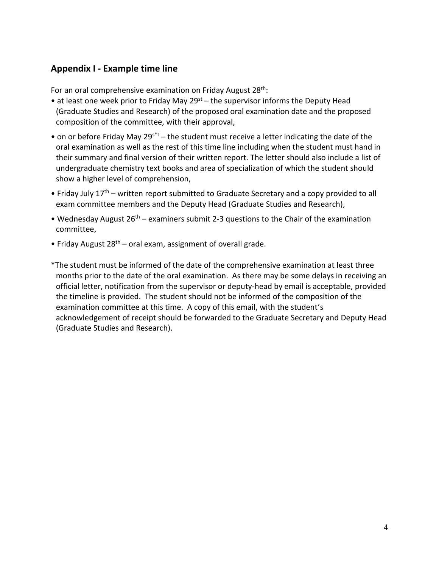#### **Appendix I - Example time line**

For an oral comprehensive examination on Friday August 28<sup>th</sup>:

- at least one week prior to Friday May  $29<sup>st</sup>$  the supervisor informs the Deputy Head (Graduate Studies and Research) of the proposed oral examination date and the proposed composition of the committee, with their approval,
- on or before Friday May 29s<sup>\*t</sup> the student must receive a letter indicating the date of the oral examination as well as the rest of this time line including when the student must hand in their summary and final version of their written report. The letter should also include a list of undergraduate chemistry text books and area of specialization of which the student should show a higher level of comprehension,
- Friday July 17<sup>th</sup> written report submitted to Graduate Secretary and a copy provided to all exam committee members and the Deputy Head (Graduate Studies and Research),
- Wednesday August 26<sup>th</sup> examiners submit 2-3 questions to the Chair of the examination committee,
- Friday August  $28^{th}$  oral exam, assignment of overall grade.
- \*The student must be informed of the date of the comprehensive examination at least three months prior to the date of the oral examination. As there may be some delays in receiving an official letter, notification from the supervisor or deputy-head by email is acceptable, provided the timeline is provided. The student should not be informed of the composition of the examination committee at this time. A copy of this email, with the student's acknowledgement of receipt should be forwarded to the Graduate Secretary and Deputy Head (Graduate Studies and Research).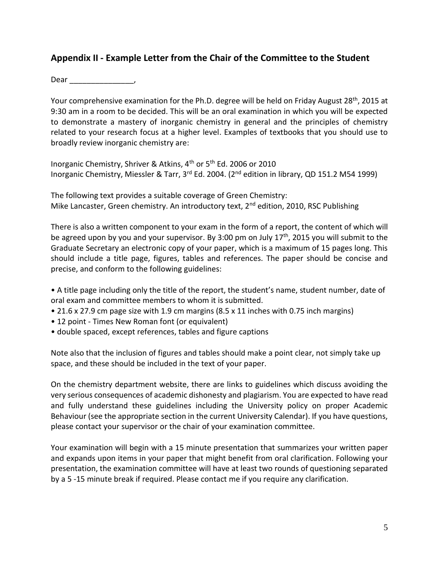#### **Appendix II - Example Letter from the Chair of the Committee to the Student**

Dear \_\_\_\_\_\_\_\_\_\_\_\_\_\_\_,

Your comprehensive examination for the Ph.D. degree will be held on Friday August 28<sup>th</sup>, 2015 at 9:30 am in a room to be decided. This will be an oral examination in which you will be expected to demonstrate a mastery of inorganic chemistry in general and the principles of chemistry related to your research focus at a higher level. Examples of textbooks that you should use to broadly review inorganic chemistry are:

Inorganic Chemistry, Shriver & Atkins, 4<sup>th</sup> or 5<sup>th</sup> Ed. 2006 or 2010 Inorganic Chemistry, Miessler & Tarr, 3<sup>rd</sup> Ed. 2004. (2<sup>nd</sup> edition in library, QD 151.2 M54 1999)

The following text provides a suitable coverage of Green Chemistry: Mike Lancaster, Green chemistry. An introductory text, 2<sup>nd</sup> edition, 2010, RSC Publishing

There is also a written component to your exam in the form of a report, the content of which will be agreed upon by you and your supervisor. By 3:00 pm on July 17<sup>th</sup>, 2015 you will submit to the Graduate Secretary an electronic copy of your paper, which is a maximum of 15 pages long. This should include a title page, figures, tables and references. The paper should be concise and precise, and conform to the following guidelines:

• A title page including only the title of the report, the student's name, student number, date of oral exam and committee members to whom it is submitted.

- 21.6 x 27.9 cm page size with 1.9 cm margins (8.5 x 11 inches with 0.75 inch margins)
- 12 point Times New Roman font (or equivalent)
- double spaced, except references, tables and figure captions

Note also that the inclusion of figures and tables should make a point clear, not simply take up space, and these should be included in the text of your paper.

On the chemistry department website, there are links to guidelines which discuss avoiding the very serious consequences of academic dishonesty and plagiarism. You are expected to have read and fully understand these guidelines including the University policy on proper Academic Behaviour (see the appropriate section in the current University Calendar). If you have questions, please contact your supervisor or the chair of your examination committee.

Your examination will begin with a 15 minute presentation that summarizes your written paper and expands upon items in your paper that might benefit from oral clarification. Following your presentation, the examination committee will have at least two rounds of questioning separated by a 5 -15 minute break if required. Please contact me if you require any clarification.